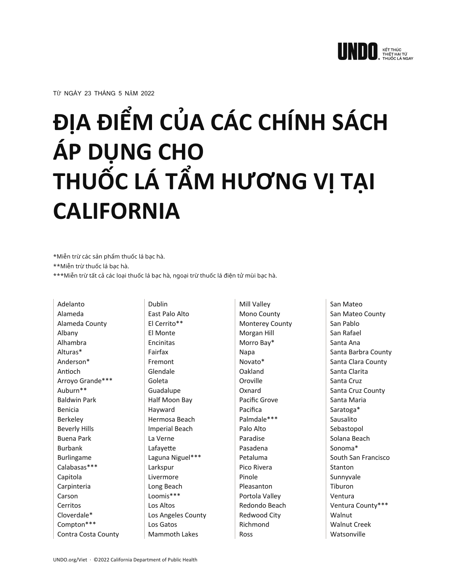

TỪ NGÀY 23 THÁNG 5 NĂM 2022

## **ĐỊA ĐIỂM CỦA CÁC CHÍNH SÁCH ÁP DỤNG CHO THUỐC LÁ TẨM HƯƠNG VỊ TẠI CALIFORNIA**

\*Miễn trừ các sản phẩm thuốc lá bạc hà.

\*\*Miễn trừ thuốc lá bạc hà.

\*\*\*Miễn trừ tất cả các loại thuốc lá bạc hà, ngoại trừ thuốc lá điện tử mùi bạc hà.

| Adelanto             |
|----------------------|
| Alameda              |
| Alameda County       |
| Albany               |
| Alhambra             |
| Alturas*             |
| Anderson*            |
| Antioch              |
| Arroyo Grande***     |
| Auburn**             |
| <b>Baldwin Park</b>  |
| Benicia              |
| Berkeley             |
| <b>Beverly Hills</b> |
| <b>Buena Park</b>    |
| <b>Burbank</b>       |
| <b>Burlingame</b>    |
| Calabasas***         |
| Capitola             |
| Carpinteria          |
| Carson               |
| Cerritos             |
| Cloverdale*          |
| Compton***           |
| Contra Costa County  |

Dublin East Palo Alto El Cerrito\*\* El Monte Encinitas Fairfax Fremont Glendale Goleta Guadalupe Half Moon Bay Hayward Hermosa Beach Imperial Beach La Verne Lafayette Laguna Niguel\*\*\* Larkspur Livermore Long Beach Loomis\*\*\* Los Altos Los Angeles County Los Gatos Mammoth Lakes

Mill Valley Mono County Monterey County Morgan Hill Morro Bay\* Napa Novato\* Oakland Oroville Oxnard Pacific Grove Pacifica Palmdale\*\*\* Palo Alto Paradise Pasadena Petaluma Pico Rivera Pinole Pleasanton Portola Valley Redondo Beach Redwood City Richmond Ross

San Mateo San Mateo County San Pablo San Rafael Santa Ana Santa Barbra County Santa Clara County Santa Clarita Santa Cruz Santa Cruz County Santa Maria Saratoga\* Sausalito Sebastopol Solana Beach Sonoma\* South San Francisco **Stanton** Sunnyvale Tiburon Ventura Ventura County\*\*\* Walnut Walnut Creek Watsonville